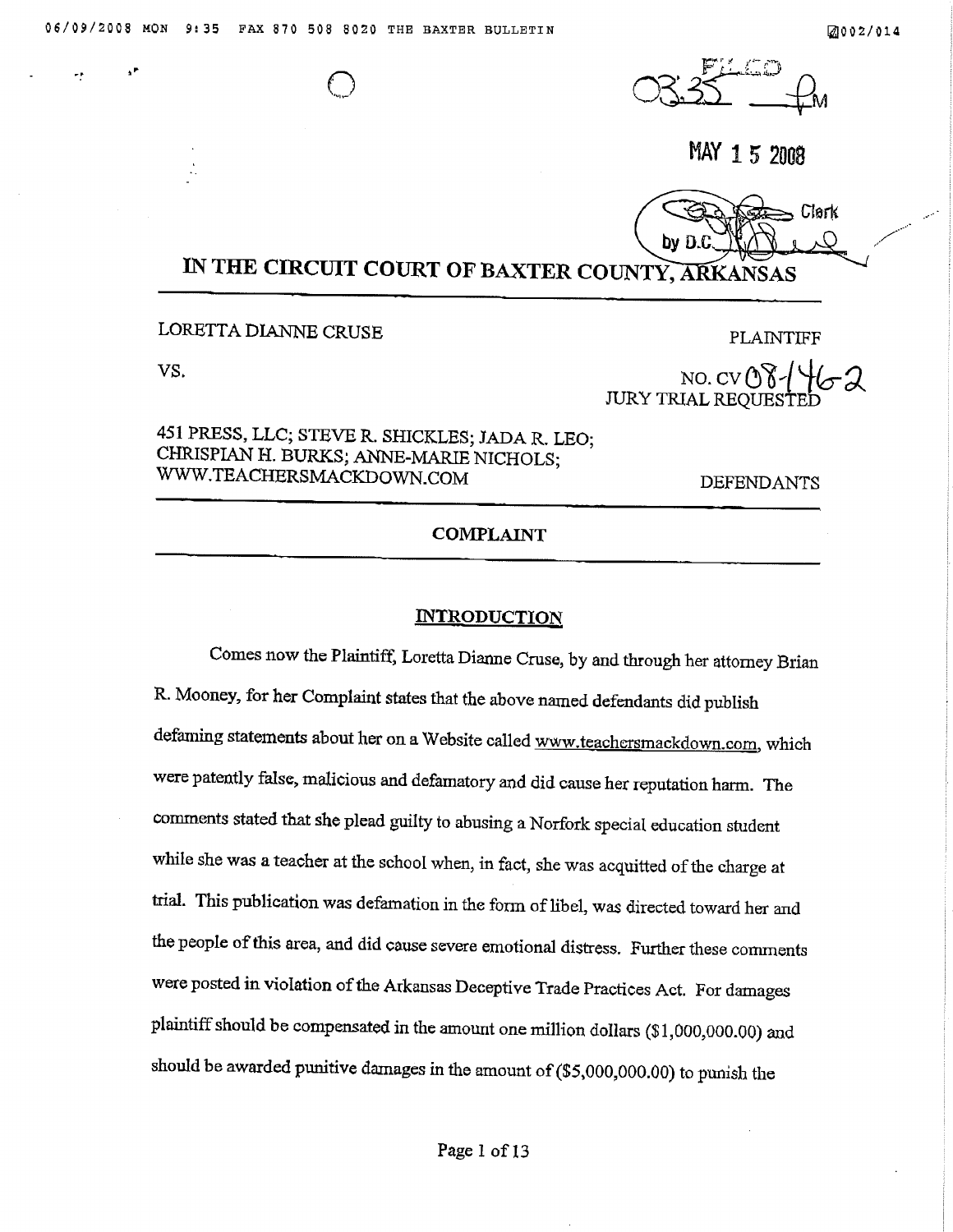

MAY 15 2008



# IN THE CIRCUIT COURT OF BAXTER COUNTY, ARKANSAS

### LORETTA DIANNE CRUSE

VS.

**PLAINTIFF** 

NO. CV O Y - /<br>JURY TRIAL REQUESTE

## 451 PRESS, LLC; STEVE R. SHICKLES; JADA R. LEO; CHRISPIAN H. BURKS, ANNE-MARIE NICHOLS; WWW.TEACHERSMACKDOWN.COM

**DEFENDANTS** 

### **COMPLAINT**

#### **INTRODUCTION**

Comes now the Plaintiff, Loretta Dianne Cruse, by and through her attorney Brian R. Mooney, for her Complaint states that the above named defendants did publish defaming statements about her on a Website called www.teachersmackdown.com, which were patently false, malicious and defamatory and did cause her reputation harm. The comments stated that she plead guilty to abusing a Norfork special education student while she was a teacher at the school when, in fact, she was acquitted of the charge at trial. This publication was defamation in the form of libel, was directed toward her and the people of this area, and did cause severe emotional distress. Further these comments were posted in violation of the Arkansas Deceptive Trade Practices Act. For damages plaintiff should be compensated in the amount one million dollars (\$1,000,000.00) and should be awarded punitive damages in the amount of  $($5,000,000.00)$  to punish the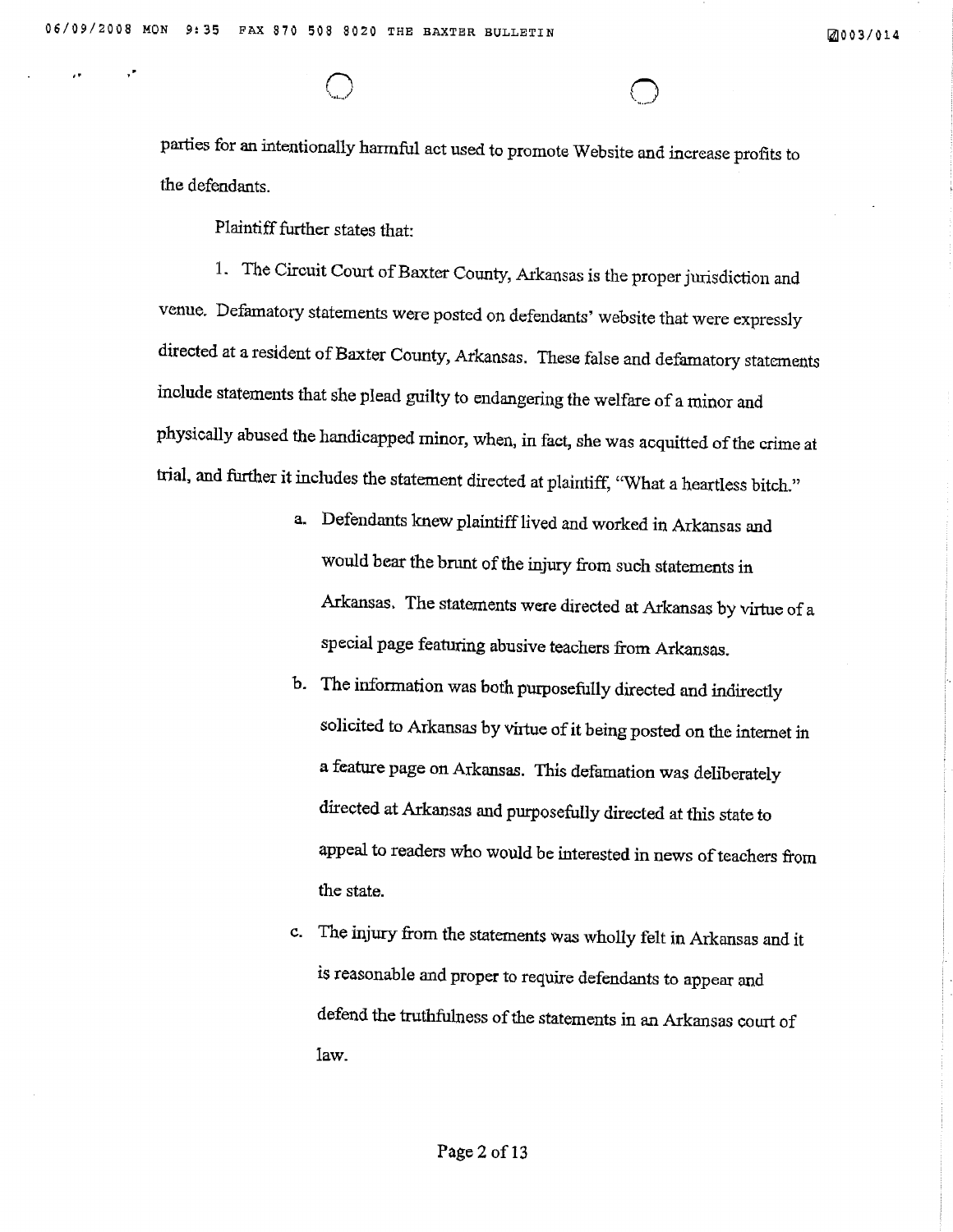øû03/0r4

parties for an intentionally harmful act used to promote Website and increase profits to the defendants.

Plaintiff further states that:

1. The Circuit Court of Baxter County, Arkansas is the proper jurisdiction and venue. Defamatory statements were posted on defendants' website that were expressly directed at a resident of Baxter County, Arkansas. These false and defamatory statements include statements that she plead guilty to endangering the welfare of a minor and physically abused the handicapped minor, wheû, in fact, she was acquitted of the crime at trial, and further it includes the statement directed at plaintiff, "What a heartless bitch."

- a. Defendants knew plaintiff lived and worked in Arkansas and would bear the brunt of the injury from such statements in Arkansas. The statements were directed at Arkansas by virtue of a special page featuring abusive teachers from Arkansas,
- b. The information was both purposefully directed and indirectly solicited to Arkansas by virtue of it being posted on the internet in a feature page on Arkansas. This defamation was deliberately directed at Arkansas and purposefully directed at this state to appeal to readers who would be interested in news of teaehers from the state.
- c. The injury from the statements was wholly felt in Arkansas and it is reasonable ard proper to require defendants to appear and defend the truthfulness of the statements in an Arkansas court of Iaw.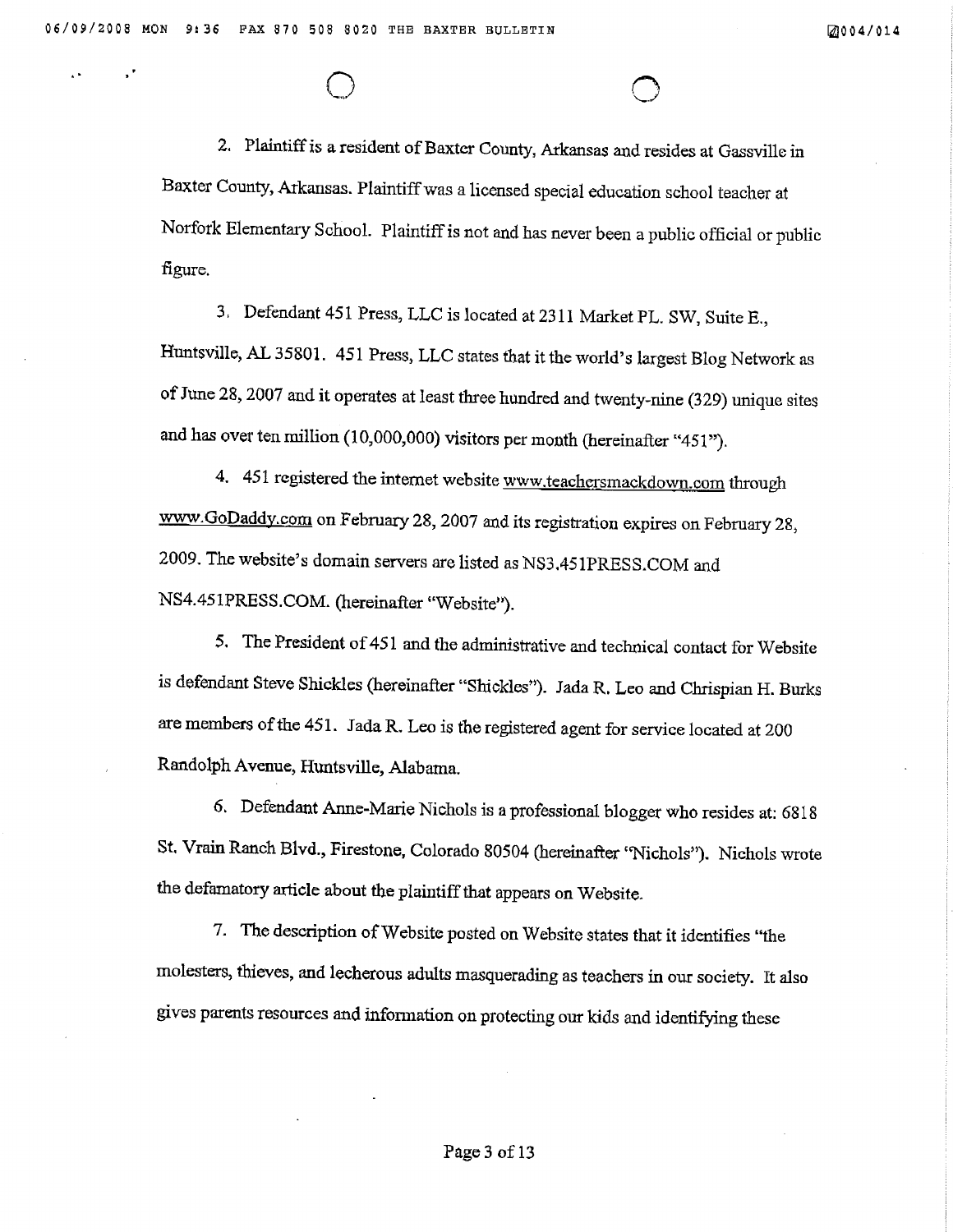2. Plaintiff is a resident of Baxter County, Arkansas and resides at Gassville in Baxter County, Arkansas. Plaintiff was a licensed special education school teacher at Norfork Elementary School. Plaintiff is not and has never been a public official or public figure.

3. Defendant 451 Press, LLC is located at 2311 Market PL. SW, Suite E., Huntsville, AL 35801. 451 Press, LLC states that it the world's largest Blog Network as of June 28, 2007 and it operates at least three hundred and twenty-nine (329) unique sites and has over ten million (10,000,000) visitors per month (hereinafter "451").

4. 451 registered the internet website www.teachersmackdown.com through www.GoDaddy.com on February 28, 2007 and its registration expires on February 28, 2009. The website's domain servers are listed as NS3.451PRESS.COM and NS4.451PRESS.COM. (hereinafter "Website").

5. The President of 451 and the administrative and technical contact for Website is defendant Steve Shickles (hereinafter "Shickles"). Jada R. Leo and Chrispian H. Burks are members of the 451. Jada R. Leo is the registered agent for service located at 200 Randolph Avenue, Huntsville, Alabama.

6. Defendant Anne-Marie Nichols is a professional blogger who resides at: 6818 St. Vrain Ranch Blvd., Firestone, Colorado 80504 (hereinafter 'Nichols''). Nichols wrote the defamatory article about the plaintiff that appears on Website.

7. The description of Website posted on Website states that it identifies "the molesters, thieves, and lecherous adults masquerading as teachers in our society. It also gives parents resources and information on protecting our kids and identifying these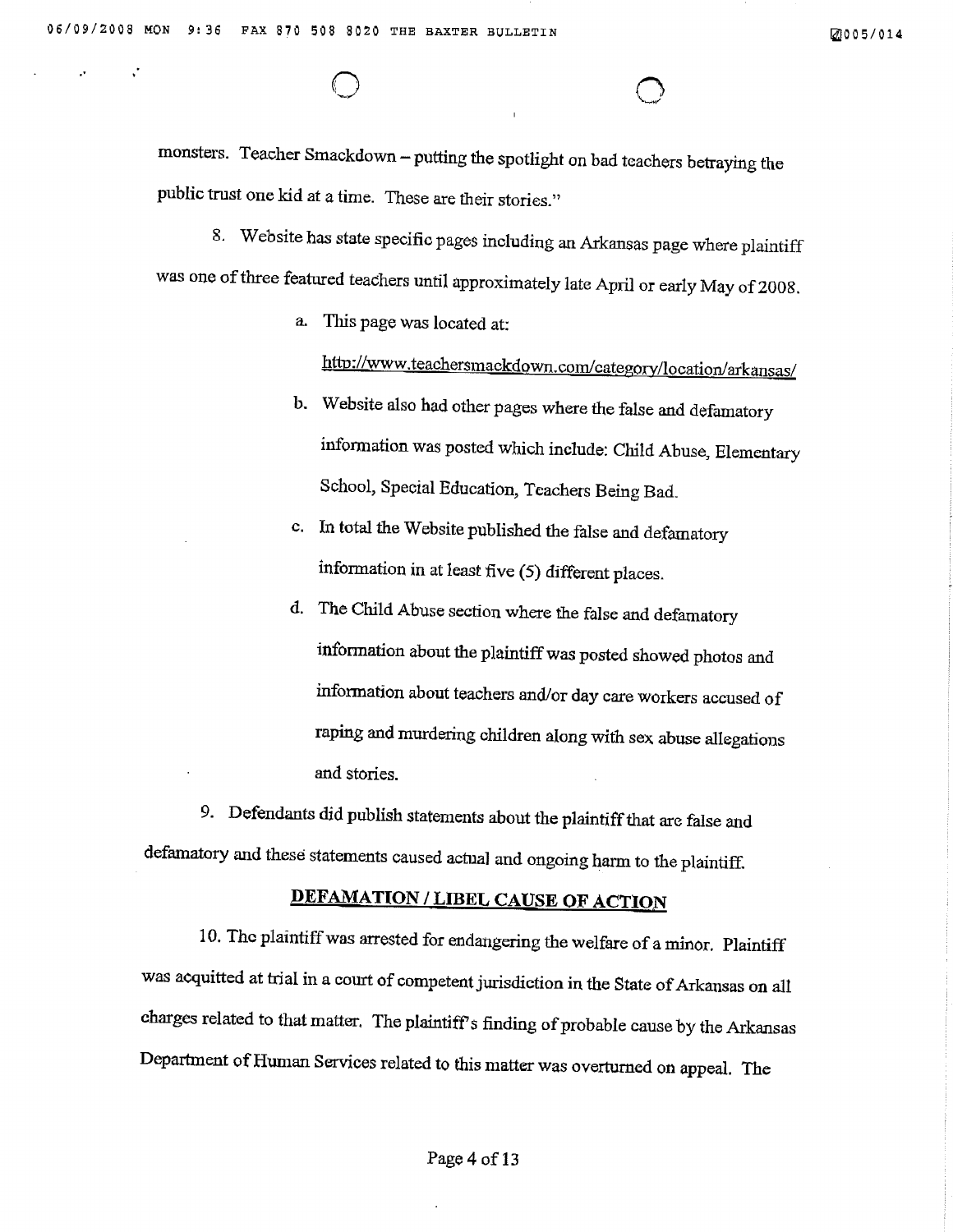øù05/014

monsters. Teacher Smackdown - putting the spotlight on bad tcachers betraying the public trust one kid at a time. These are their stories."

8. Website has state specific pages including an Arkansas page where plaintiff was one of three featured teachers until approximately late April or early May of 2008.

a, Tlús page was located at:

http://www.teachersmackdown.com/category/location/arkansas/

- b. Website also had other pages where the false and defamatory information was posted which include: Child Abuse, Elementary School, Special Education, Teachers Being Bad.
- c. In total the Website published the false and defamatory information in at least five (5) different places.
- d. The Child Abuse section where the false and defamatory information about the plaintiffwas posted showed photos and information about teachers and/or day care workers accused of raping and murdering children along with sex abuse allegations and stories.

9. Defendants did publish statements about the plaintiff that are false and defamatory and these statements caused actual and ongoing harm to the plaintiff.

# DEFAMATION / LIBEL CAUSE OF ACTION

10. The plaintiff was arrested for endangering the welfare of a minor. Plaintiff was acquitted at trial in a court of competent jurisdiction in the State of Arkansas on all charges related to that matter. The plaintiff's finding of probable cause by the Arkansas Department of Human Services related to this matter was overturned on appeal. The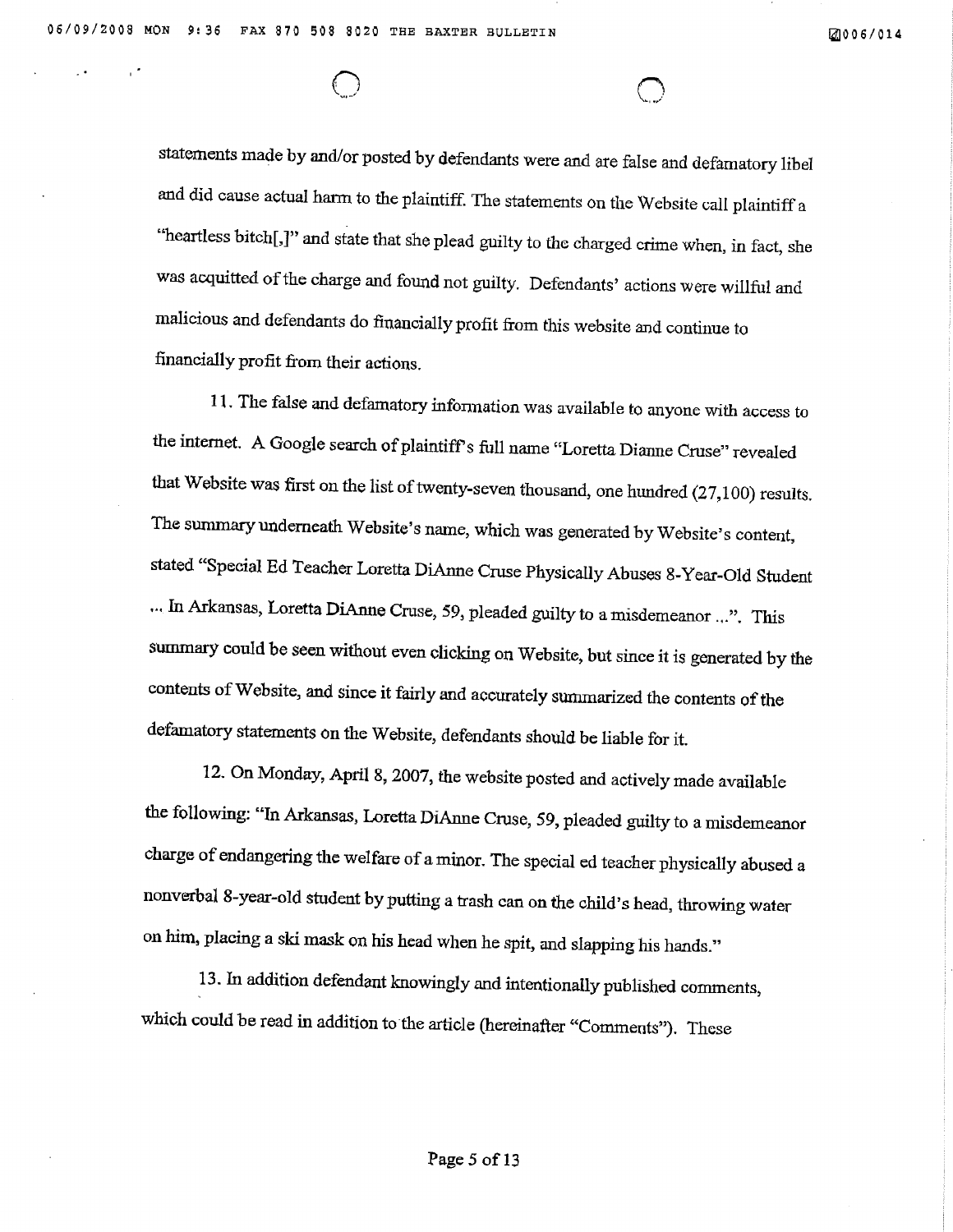statements made by and/or posted by defendants were and are false and defamatory libel and did cause actual harm to the plaintiff. The statements on the Website call plaintiff a "heartless bitch[,]" and state that she plead guilty to the charged crime when, in fact, she was acquitted of the charge and found not guilty. Defendants' actions were willful and malicious and defendants do financially profit from this website and continue to financially profit from their actions.

11. The false and defamatory information was available to anyone with access to the internet. A Google search of plaintiff's full name "Loretta Dianne Cruse" revealed that Website was first on the list of twenty-seven thousand, one hundred (27,100) results. The summary underneath Website's name, which was generated by Website's content, stated "Special Ed Teacher Loretta DiAnne Cruse Physically Abuses 8-Year-Old Student ... In Arkansas, Loretta DiAnne Cruse, 59, pleaded guilty to a misdemeanor ...". This summary could be seen without even clicking on Website, but since it is generated by the contents of Website, and since it fairly and accurately summarized the contents of the defamatory statements on the Website, defendants should be liable for it.

12. On Monday, April 8, 2007, the website posted and actively made available the following: "In Arkansas, Loretta DiAnne Cruse, 59, pleaded guilty to a misdemeanor charge of endangering the welfare of a minor. The special ed teacher physically abused a nonverbal 8-year-old student by putting a trash can on the child's head, throwing water on him, placing a ski mask on his head when he spit, and slapping his hands."

13. In addition defendant knowingly and intentionally published comments, which could be read in addition to the article (hereinafter "Comments"). These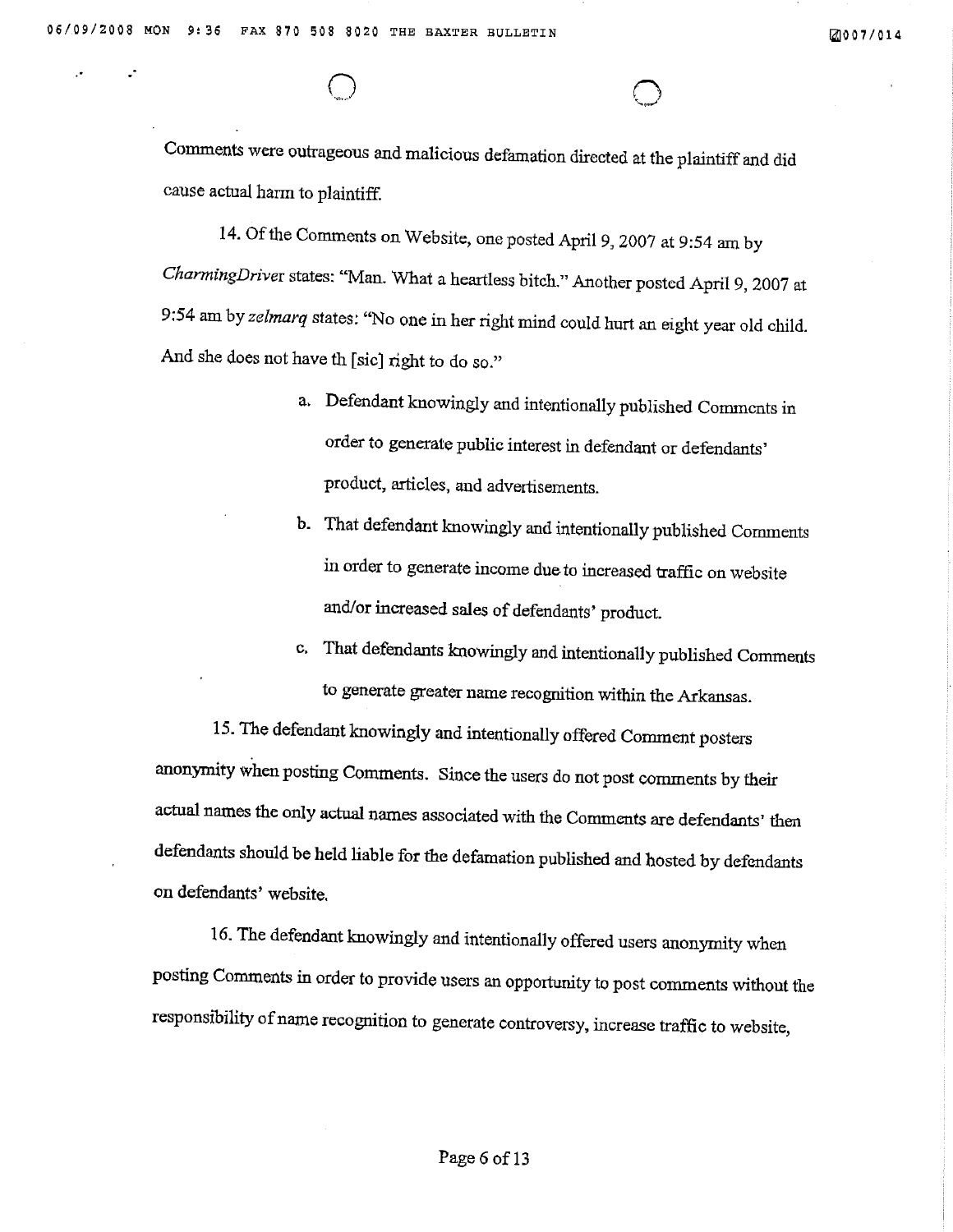Comments were outrageous and malicious defamation directed at the plaintiff and did cause actual harm to plaintiff.

14. Of the Comments on Website, one posted April 9, 2007 at 9:54 am by CharmingDriver states: "Man. What a heartless bitch." Another posted April 9, 2007 at 9:54 am by zelmarq states: "No one in her right mind could hurt an eight year old child. And she does not have th [sic] right to do so."

- a. Defendant knowingly and intentionally published Commonts in order to generate public interest in defendant or defendants' product, articles, and advertisements.
- b. That defendant knowingly and intentionally published Comments in order to generate income due to increased traffic on website and/or increased sales of defendants' product.
- c. That defendants knowingly and intentionally published Comments to generate greater name recognition within the Arkansas.

15. The defendant knowingly and intentionally offered Comment posters anonymity when posting Comments. Since the users do not post comments by their actual names the only actual names associated with the Comments are defendants' then defendants should be held liable for the defamation published and hosted by defendants on defendants' website.

16. The defendant knowingly and intentionally offered users anonymity when posting Comments in order to provide users an opportunity to post comments without the responsibility of name recognition to generate controversy, increase traffic to website,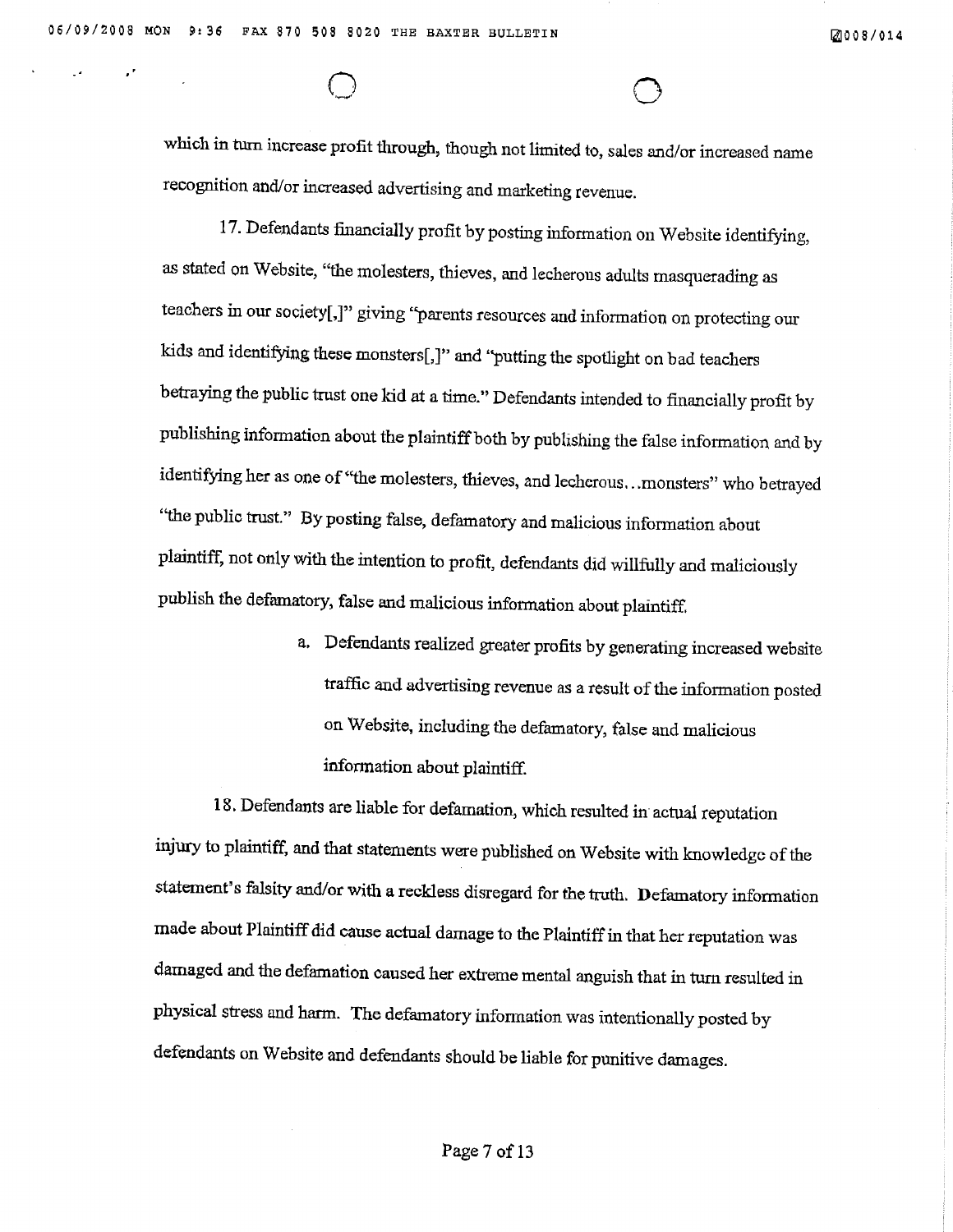which in turn increase profit through, though not limited to, sales and/or increased name recognition and/or increased advertising and marketing revenue.

17. Defendants financially profit by posting information on Website identifying, as stated on Website, "the molesters, thieves, and lecherous adults masquerading as teachers in our society[,]" giving "parents resources and information on protecting our kids and identifying these monsters[,]" and "putting the spotlight on bad teachers betraying the public trust one kid at a time." Defendants intended to financially profit by publishing information about the plaintiff both by publishing the false information and by identifying her as one of "the molesters, thieves, and lecherous...monsters" who betrayed "the public trust." By posting false, defamatory and malicious information about plaintiff, not only with the intention to profit, defendants did willfully and maliciously publish the defamatory, false and malicious information about plaintiff.

> a. Defendants realized greater profits by generating increased website traffic and advertising revenue as a result of the information posted on Website, including the defamatory, false and malicious information about plaintiff.

18. Defendants are liable for defamation, which resulted in actual reputation injury to plaintiff, and that statements were published on Website with knowledge of the statement's falsity and/or with a reckless disregard for the truth. Defamatory information made about Plaintiff did cause actual damage to the Plaintiff in that her reputation was damaged and the defamation caused her extreme mental anguish that in turn resulted in physical stress and harm. The defamatory information was intentionally posted by defendants on Website and defendants should be liable for punitive damages.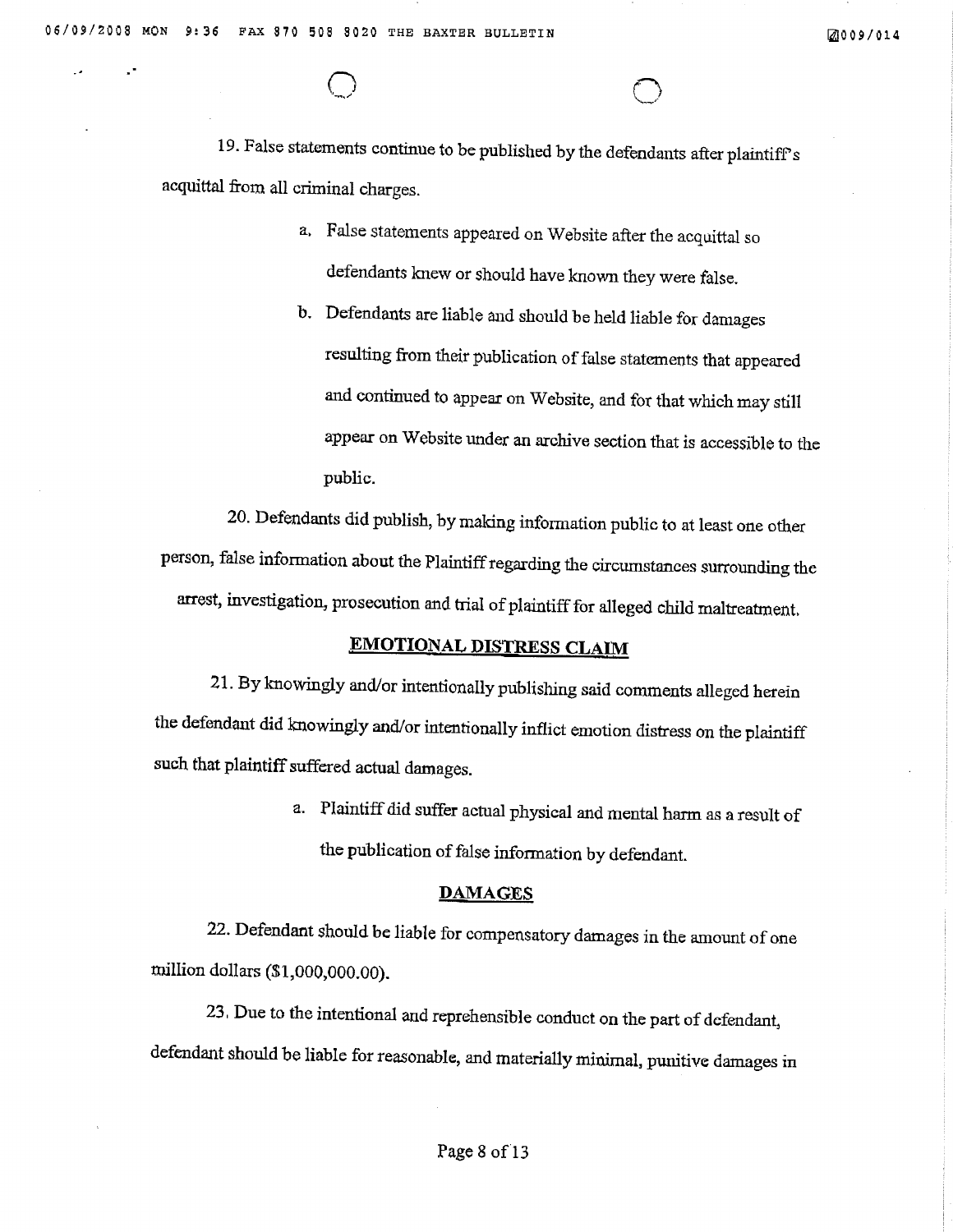19. False statements continue to be published by the defendants after plaintiff's acquittal from all criminal charges.

- a. False statements appeared on Website after the acquittal so defendants knew or should have known they were false.
- b. Defendants are liable and should be held liable for damages resulting from their publication of false statements that appeared and continued to appear on Website, and for that which may still appear on Website under an archive section that is accessible to the public.

20. Defendants did publish, by making information public to at least one other person, false information about the Plaintiff regarding the circumstances surrounding the arrest, investigation, prosecution and trial of plaintiff for alleged child maltreatment.

## **EMOTIONAL DISTRESS CLAIM**

21. By knowingly and/or intentionally publishing said comments alleged herein the defendant did knowingly and/or intentionally inflict emotion distress on the plaintiff such that plaintiff suffered actual damages.

> a. Plaintiff did suffer actual physical and mental harm as a result of the publication of false information by defendant.

#### **DAMAGES**

22. Defendant should be liable for compensatory damages in the amount of one million dollars  $(1,000,000,00)$ .

23. Due to the intentional and reprehensible conduct on the part of defendant, defendant should be liable for reasonable, and materially minimal, punitive damages in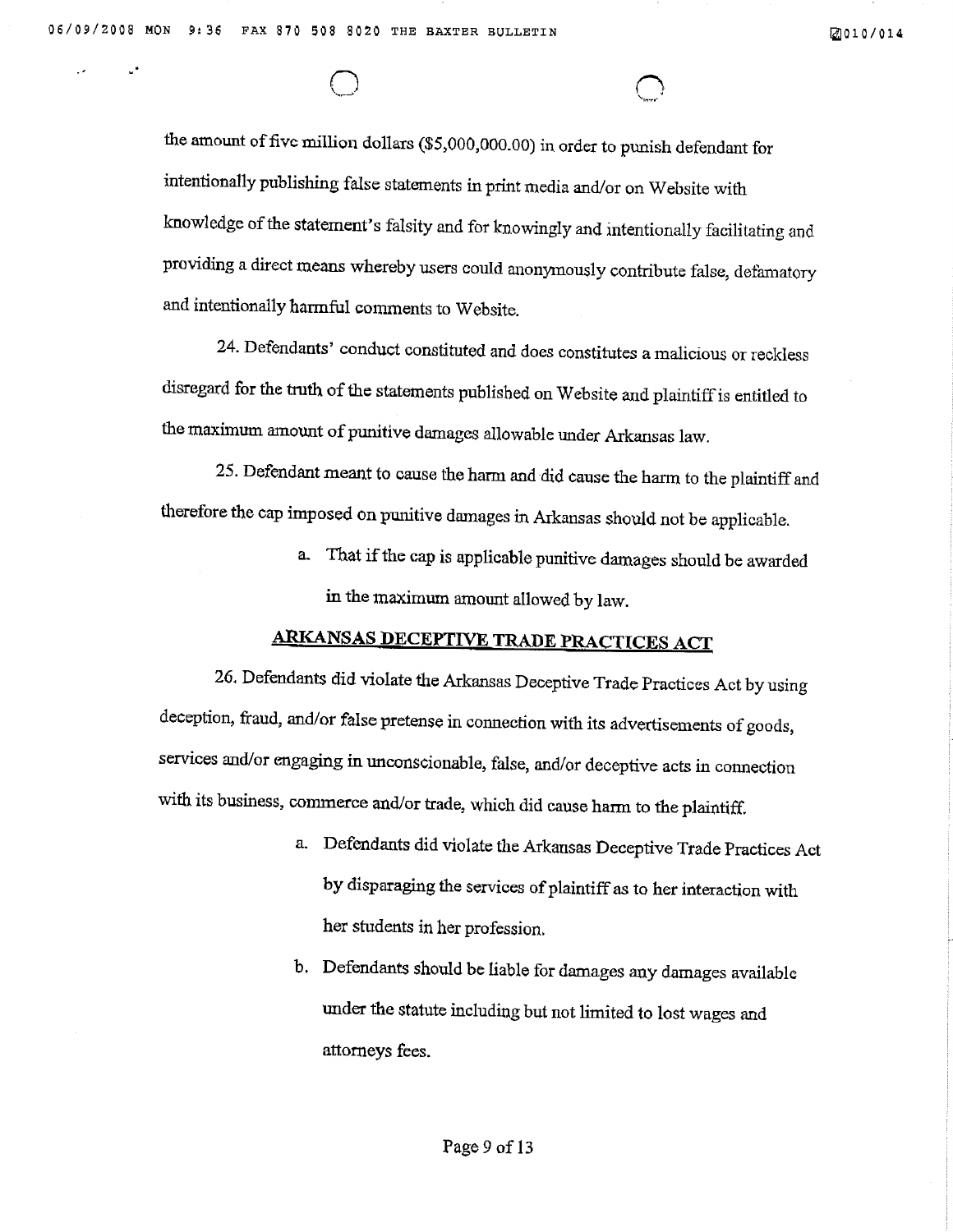the amount of five million dollars (\$5,000,000.00) in order to punish defendant for intentionally publishing false statements in print media and/or on Website with knowledge of the statement's falsity and for knowingly and intentionally facilitating and providing a direct means whereby users could anonymously contribute false, defamatory and intentionally harmful comments to Website.

24. Defendants' conduct constituted and does constitutes a malicious or reckless disregard for the truth of the statements published on Website and plaintiff is entitled to the maximum amount of punitive damages allowable under Arkansas law.

25. Defendant meant to cause the harm and did cause the harm to the plaintiff and therefore the cap imposed on punitive damages in Arkansas should not be applicable.

> a. That if the cap is applicable punitive damages should be awarded in the maximum amount allowed by law.

# **ARKANSAS DECEPTIVE TRADE PRACTICES ACT**

26. Defendants did violate the Arkansas Deceptive Trade Practices Act by using deception, fraud, and/or false pretense in connection with its advertisements of goods, services and/or engaging in unconscionable, false, and/or deceptive acts in connection with its business, commerce and/or trade, which did cause harm to the plaintiff.

- a. Defendants did violate the Arkansas Deceptive Trade Practices Act by disparaging the services of plaintiff as to her interaction with her students in her profession.
- b. Defendants should be liable for damages any damages available under the statute including but not limited to lost wages and attorneys fees.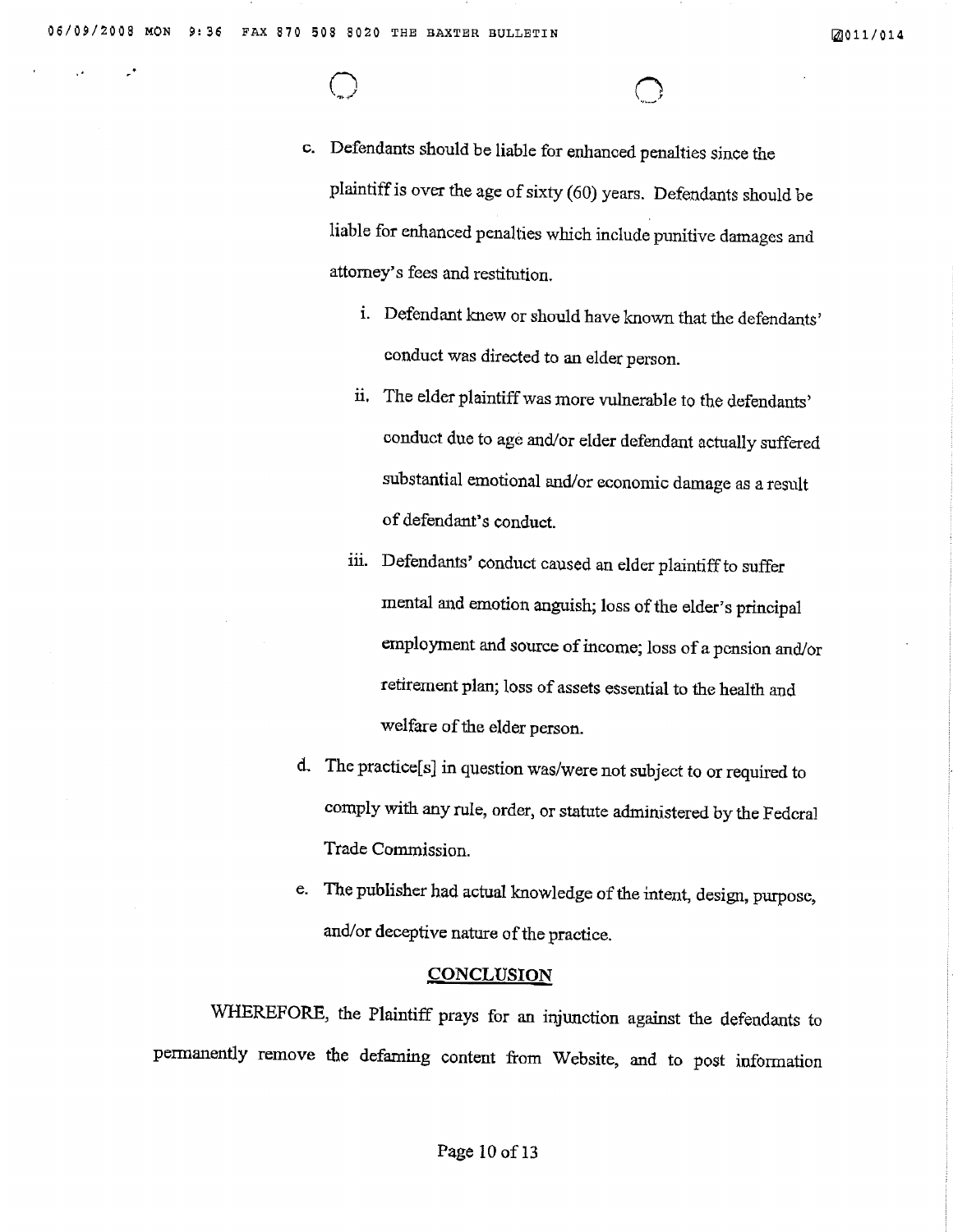c. Defendants should be liable for enhanced penalties since the plaintiff is over the age of sixty (60) years. Defendants should be liable for enhanced penalties which include punitive damages and attorney's fees and restitution.

- i. Defendant knew or should have known that the defendants' conduct was directed to an elder person.
- ii. The elder plaintiff was more vulnerable to the defendants' conduct due to age and/or elder defendant actually suffered substantial emotional and/or economic damage as a result of defendant's conduct.
- iii. Defendants' conduct caused an elder plaintiff to suffer mental and emotion anguish; loss of the elder's principal employment and source of income; loss of a pension and/or retirement plan; loss of assets essential to the health and welfare of the elder person.
- d. The practice[s] in question was/were not subject to or required to comply with any rule, order, or statute administered by the Federal Trade Commission.
- e. The publisher had actual knowledge of the intent, design, purpose, and/or deceptive nature of the practice.

### **CONCLUSION**

WHEREFORE, the Plaintiff prays for an injunction against the defendants to permanently remove the defaming content from Website, and to post information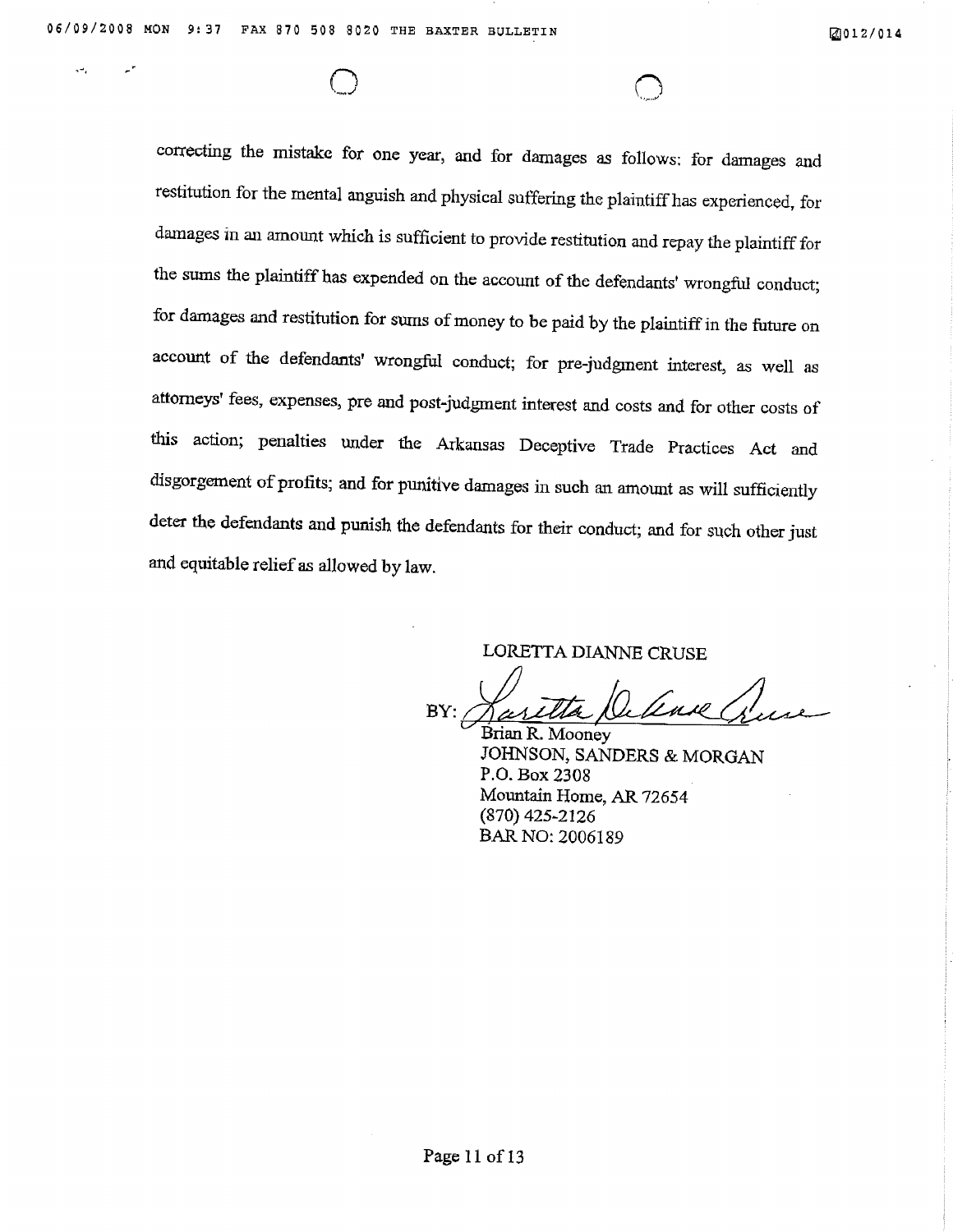correcting the mistake for one year, and for damages as follows: for damages and restitution for the mental anguish and physical suffering the plaintiff has experienced, for damages in an amount which is sufficient to provide restitution and repay the plaintiff for the sums the plaintiff has expended on the account of the defendants' wrongful conduct; for damages and restitution for sums of money to be paid by the plaintiff in the future on account of the defendants' wrongful conduct; for pre-judgment interest, as well as attorneys' fees, expenses, pre and post-judgment interest and costs and for other costs of this action; penalties under the Arkansas Deceptive Trade Practices Act and disgorgement of profits; and for punitive damages in such an amount as will sufficiently deter the defendants and punish the defendants for their conduct; and for such other just and equitable relief as allowed by law.

LORETTA DIANNE CRUSE

Luil BY:

Brian R. Mooney JOHNSON, SANDERS & MORGAN P.O. Box 2308 Mountain Home, AR 72654 (870) 425-2126 BAR NO: 2006189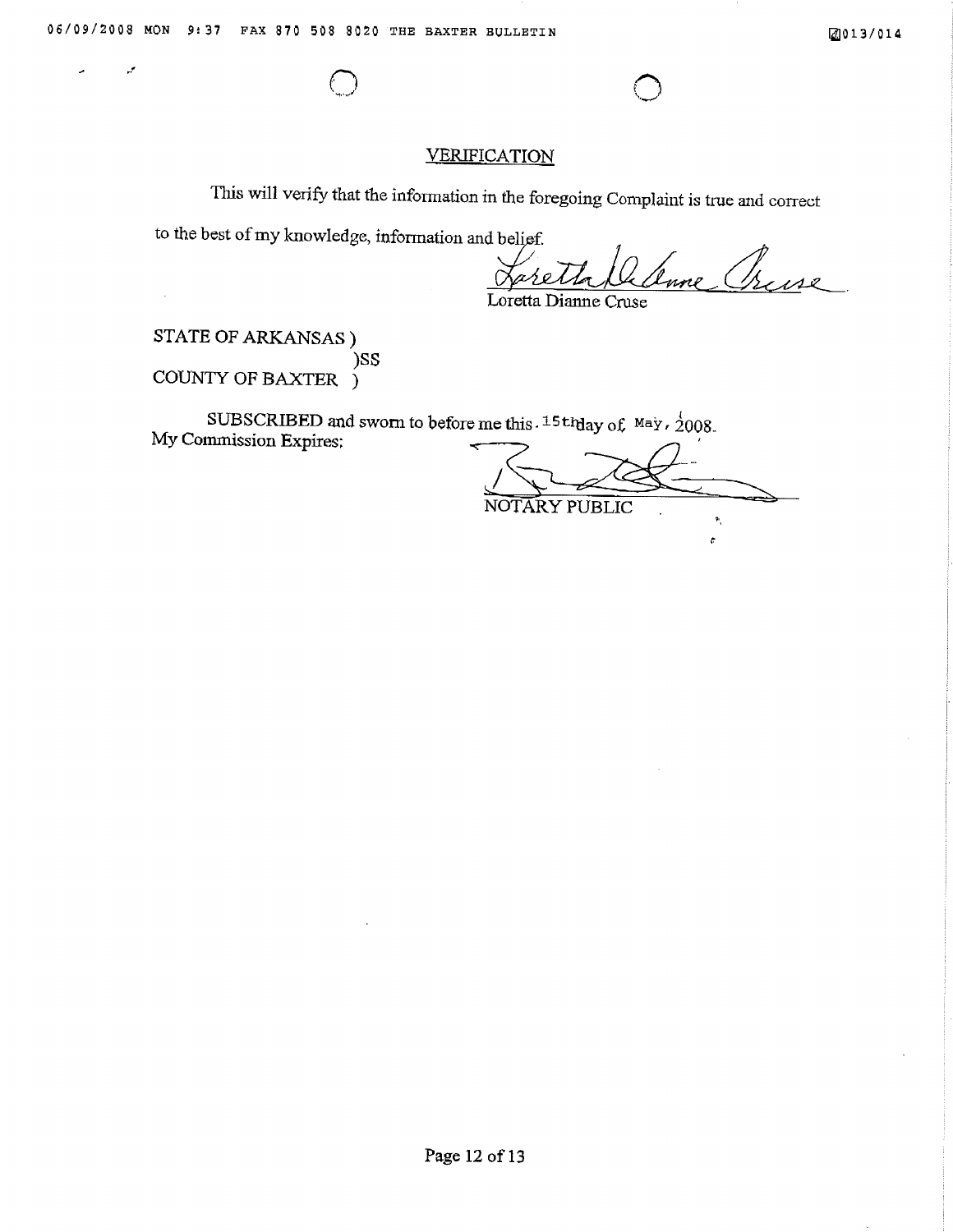## **VERIFICATION**

This will verify that the information in the foregoing Complaint is true and correct

to the best of my knowledge, information and belief.

Loretta Dianne Cruse

STATE OF ARKANSAS ) )SS COUNTY OF BAXTER )

SUBSCRIBED and sworn to before me this. 15th day of May,  $\frac{1}{2}008$ . My Commission Expires:

NOTARY PUBLIC  $\mathbf{P}_{\mathbf{q}}$ 

 $\pmb{\varepsilon}$